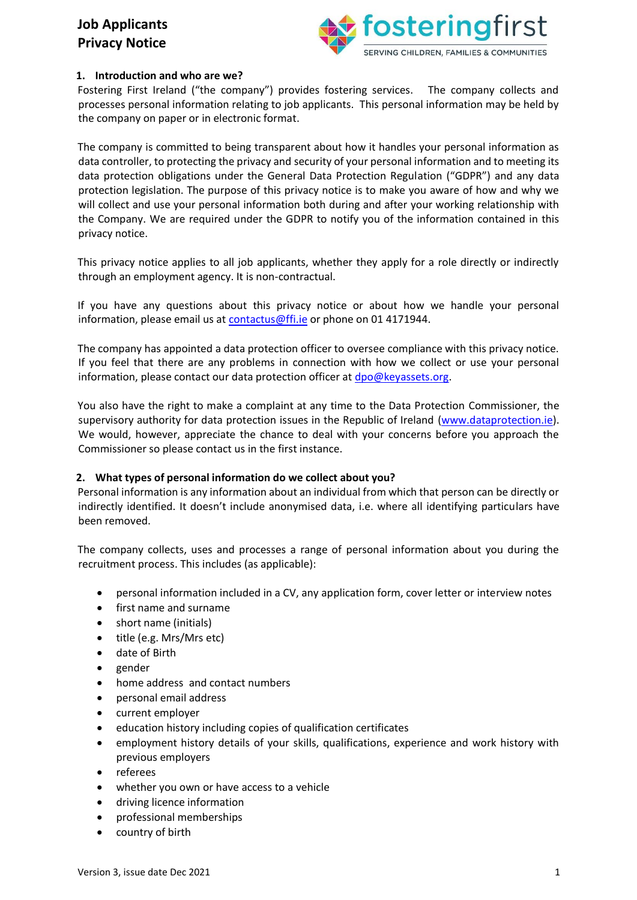

## **1. Introduction and who are we?**

Fostering First Ireland ("the company") provides fostering services. The company collects and processes personal information relating to job applicants. This personal information may be held by the company on paper or in electronic format.

The company is committed to being transparent about how it handles your personal information as data controller, to protecting the privacy and security of your personal information and to meeting its data protection obligations under the General Data Protection Regulation ("GDPR") and any data protection legislation. The purpose of this privacy notice is to make you aware of how and why we will collect and use your personal information both during and after your working relationship with the Company. We are required under the GDPR to notify you of the information contained in this privacy notice.

This privacy notice applies to all job applicants, whether they apply for a role directly or indirectly through an employment agency. It is non-contractual.

If you have any questions about this privacy notice or about how we handle your personal information, please email us at contactus@ffi.ie or phone on 01 4171944.

The company has appointed a data protection officer to oversee compliance with this privacy notice. If you feel that there are any problems in connection with how we collect or use your personal information, please contact our data protection officer at dpo@keyassets.org.

You also have the right to make a complaint at any time to the Data Protection Commissioner, the supervisory authority for data protection issues in the Republic of Ireland [\(www.dataprotection.ie\).](http://www.dataprotection.ie/) We would, however, appreciate the chance to deal with your concerns before you approach the Commissioner so please contact us in the first instance.

### **2. What types of personal information do we collect about you?**

Personal information is any information about an individual from which that person can be directly or indirectly identified. It doesn't include anonymised data, i.e. where all identifying particulars have been removed.

The company collects, uses and processes a range of personal information about you during the recruitment process. This includes (as applicable):

- personal information included in a CV, any application form, cover letter or interview notes
- first name and surname
- short name (initials)
- title (e.g. Mrs/Mrs etc)
- date of Birth
- gender
- home address and contact numbers
- personal email address
- current employer
- education history including copies of qualification certificates
- employment history details of your skills, qualifications, experience and work history with previous employers
- referees
- whether you own or have access to a vehicle
- driving licence information
- professional memberships
- country of birth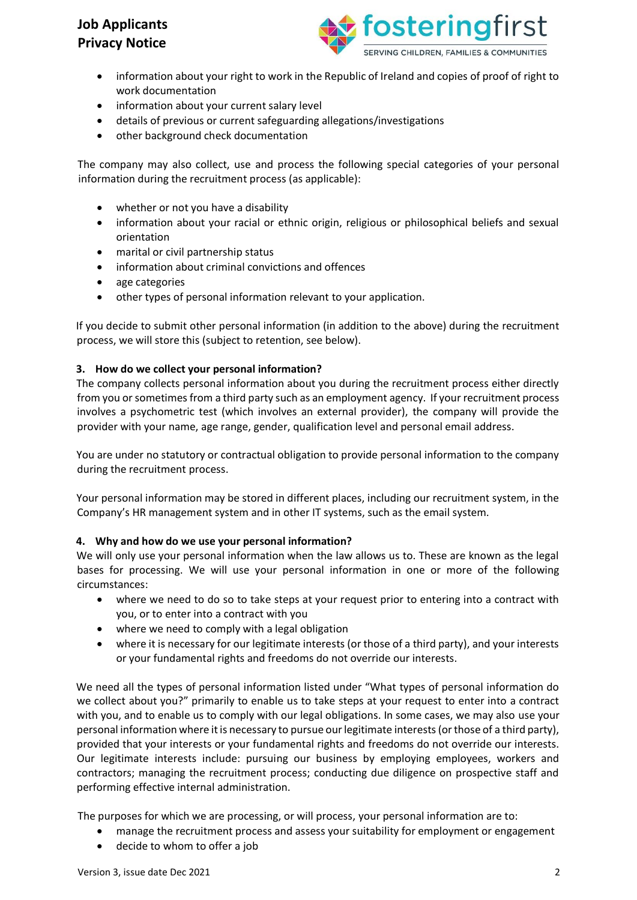

- information about your right to work in the Republic of Ireland and copies of proof of right to work documentation
- information about your current salary level
- details of previous or current safeguarding allegations/investigations
- other background check documentation

The company may also collect, use and process the following special categories of your personal information during the recruitment process (as applicable):

- whether or not you have a disability
- information about your racial or ethnic origin, religious or philosophical beliefs and sexual orientation
- marital or civil partnership status
- information about criminal convictions and offences
- age categories
- other types of personal information relevant to your application.

If you decide to submit other personal information (in addition to the above) during the recruitment process, we will store this (subject to retention, see below).

#### **3. How do we collect your personal information?**

The company collects personal information about you during the recruitment process either directly from you or sometimes from a third party such as an employment agency. If your recruitment process involves a psychometric test (which involves an external provider), the company will provide the provider with your name, age range, gender, qualification level and personal email address.

You are under no statutory or contractual obligation to provide personal information to the company during the recruitment process.

Your personal information may be stored in different places, including our recruitment system, in the Company's HR management system and in other IT systems, such as the email system.

#### **4. Why and how do we use your personal information?**

We will only use your personal information when the law allows us to. These are known as the legal bases for processing. We will use your personal information in one or more of the following circumstances:

- where we need to do so to take steps at your request prior to entering into a contract with you, or to enter into a contract with you
- where we need to comply with a legal obligation
- where it is necessary for our legitimate interests (or those of a third party), and your interests or your fundamental rights and freedoms do not override our interests.

We need all the types of personal information listed under "What types of personal information do we collect about you?" primarily to enable us to take steps at your request to enter into a contract with you, and to enable us to comply with our legal obligations. In some cases, we may also use your personal information where it is necessary to pursue our legitimate interests (or those of a third party), provided that your interests or your fundamental rights and freedoms do not override our interests. Our legitimate interests include: pursuing our business by employing employees, workers and contractors; managing the recruitment process; conducting due diligence on prospective staff and performing effective internal administration.

The purposes for which we are processing, or will process, your personal information are to:

- manage the recruitment process and assess your suitability for employment or engagement
- decide to whom to offer a job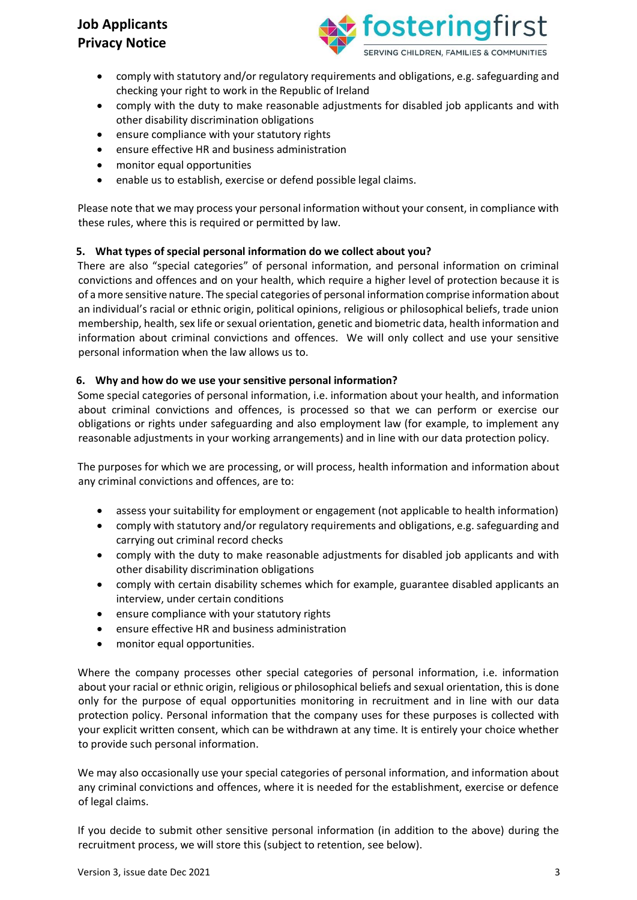

- comply with statutory and/or regulatory requirements and obligations, e.g. safeguarding and checking your right to work in the Republic of Ireland
- comply with the duty to make reasonable adjustments for disabled job applicants and with other disability discrimination obligations
- ensure compliance with your statutory rights
- ensure effective HR and business administration
- monitor equal opportunities
- enable us to establish, exercise or defend possible legal claims.

Please note that we may process your personal information without your consent, in compliance with these rules, where this is required or permitted by law.

### **5. What types of special personal information do we collect about you?**

There are also "special categories" of personal information, and personal information on criminal convictions and offences and on your health, which require a higher level of protection because it is of a more sensitive nature. The special categories of personal information comprise information about an individual's racial or ethnic origin, political opinions, religious or philosophical beliefs, trade union membership, health, sex life or sexual orientation, genetic and biometric data, health information and information about criminal convictions and offences. We will only collect and use your sensitive personal information when the law allows us to.

### **6. Why and how do we use your sensitive personal information?**

Some special categories of personal information, i.e. information about your health, and information about criminal convictions and offences, is processed so that we can perform or exercise our obligations or rights under safeguarding and also employment law (for example, to implement any reasonable adjustments in your working arrangements) and in line with our data protection policy.

The purposes for which we are processing, or will process, health information and information about any criminal convictions and offences, are to:

- assess your suitability for employment or engagement (not applicable to health information)
- comply with statutory and/or regulatory requirements and obligations, e.g. safeguarding and carrying out criminal record checks
- comply with the duty to make reasonable adjustments for disabled job applicants and with other disability discrimination obligations
- comply with certain disability schemes which for example, guarantee disabled applicants an interview, under certain conditions
- ensure compliance with your statutory rights
- ensure effective HR and business administration
- monitor equal opportunities.

Where the company processes other special categories of personal information, i.e. information about your racial or ethnic origin, religious or philosophical beliefs and sexual orientation, this is done only for the purpose of equal opportunities monitoring in recruitment and in line with our data protection policy. Personal information that the company uses for these purposes is collected with your explicit written consent, which can be withdrawn at any time. It is entirely your choice whether to provide such personal information.

We may also occasionally use your special categories of personal information, and information about any criminal convictions and offences, where it is needed for the establishment, exercise or defence of legal claims.

If you decide to submit other sensitive personal information (in addition to the above) during the recruitment process, we will store this (subject to retention, see below).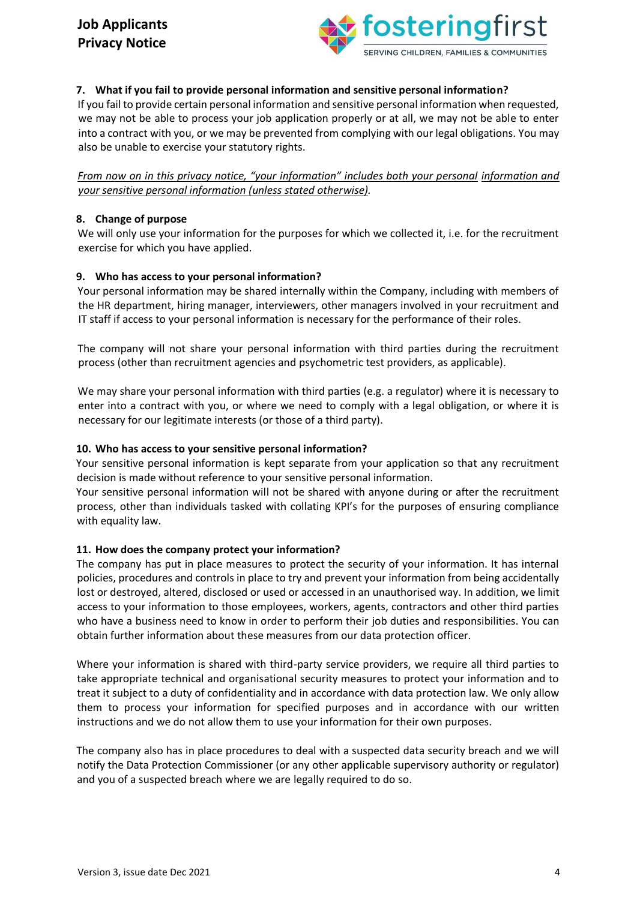

## **7. What if you fail to provide personal information and sensitive personal information?**

If you fail to provide certain personal information and sensitive personal information when requested, we may not be able to process your job application properly or at all, we may not be able to enter into a contract with you, or we may be prevented from complying with our legal obligations. You may also be unable to exercise your statutory rights.

*From now on in this privacy notice, "your information" includes both your personal information and your sensitive personal information (unless stated otherwise).*

### **8. Change of purpose**

We will only use your information for the purposes for which we collected it, i.e. for the recruitment exercise for which you have applied.

#### **9. Who has access to your personal information?**

Your personal information may be shared internally within the Company, including with members of the HR department, hiring manager, interviewers, other managers involved in your recruitment and IT staff if access to your personal information is necessary for the performance of their roles.

The company will not share your personal information with third parties during the recruitment process (other than recruitment agencies and psychometric test providers, as applicable).

We may share your personal information with third parties (e.g. a regulator) where it is necessary to enter into a contract with you, or where we need to comply with a legal obligation, or where it is necessary for our legitimate interests (or those of a third party).

#### **10. Who has access to your sensitive personal information?**

Your sensitive personal information is kept separate from your application so that any recruitment decision is made without reference to your sensitive personal information.

Your sensitive personal information will not be shared with anyone during or after the recruitment process, other than individuals tasked with collating KPI's for the purposes of ensuring compliance with equality law.

### **11. How does the company protect your information?**

The company has put in place measures to protect the security of your information. It has internal policies, procedures and controls in place to try and prevent your information from being accidentally lost or destroyed, altered, disclosed or used or accessed in an unauthorised way. In addition, we limit access to your information to those employees, workers, agents, contractors and other third parties who have a business need to know in order to perform their job duties and responsibilities. You can obtain further information about these measures from our data protection officer.

Where your information is shared with third-party service providers, we require all third parties to take appropriate technical and organisational security measures to protect your information and to treat it subject to a duty of confidentiality and in accordance with data protection law. We only allow them to process your information for specified purposes and in accordance with our written instructions and we do not allow them to use your information for their own purposes.

The company also has in place procedures to deal with a suspected data security breach and we will notify the Data Protection Commissioner (or any other applicable supervisory authority or regulator) and you of a suspected breach where we are legally required to do so.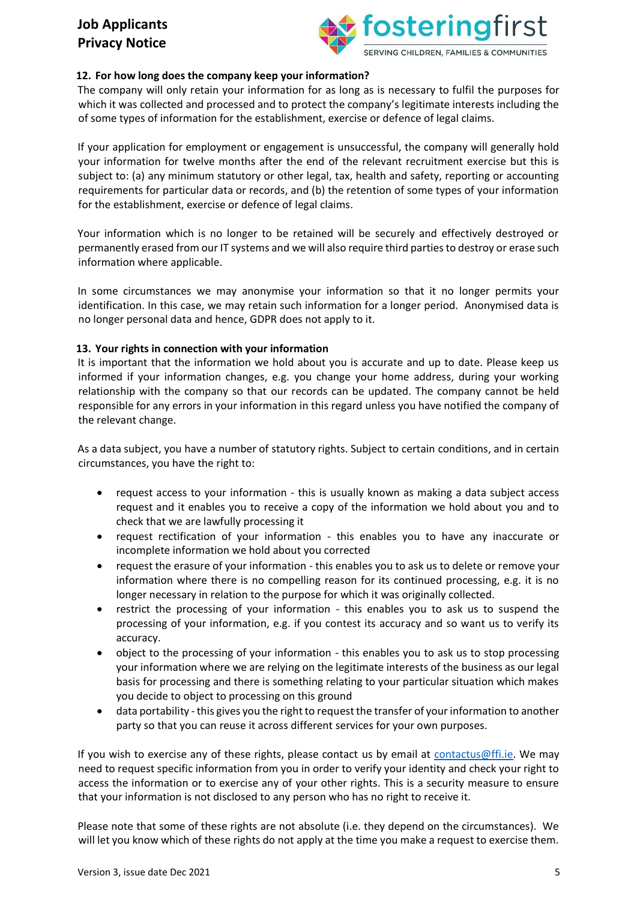

## **12. For how long does the company keep your information?**

The company will only retain your information for as long as is necessary to fulfil the purposes for which it was collected and processed and to protect the company's legitimate interests including the of some types of information for the establishment, exercise or defence of legal claims.

If your application for employment or engagement is unsuccessful, the company will generally hold your information for twelve months after the end of the relevant recruitment exercise but this is subject to: (a) any minimum statutory or other legal, tax, health and safety, reporting or accounting requirements for particular data or records, and (b) the retention of some types of your information for the establishment, exercise or defence of legal claims.

Your information which is no longer to be retained will be securely and effectively destroyed or permanently erased from our IT systems and we will also require third parties to destroy or erase such information where applicable.

In some circumstances we may anonymise your information so that it no longer permits your identification. In this case, we may retain such information for a longer period. Anonymised data is no longer personal data and hence, GDPR does not apply to it.

#### **13. Your rights in connection with your information**

It is important that the information we hold about you is accurate and up to date. Please keep us informed if your information changes, e.g. you change your home address, during your working relationship with the company so that our records can be updated. The company cannot be held responsible for any errors in your information in this regard unless you have notified the company of the relevant change.

As a data subject, you have a number of statutory rights. Subject to certain conditions, and in certain circumstances, you have the right to:

- request access to your information this is usually known as making a data subject access request and it enables you to receive a copy of the information we hold about you and to check that we are lawfully processing it
- request rectification of your information this enables you to have any inaccurate or incomplete information we hold about you corrected
- request the erasure of your information this enables you to ask us to delete or remove your information where there is no compelling reason for its continued processing, e.g. it is no longer necessary in relation to the purpose for which it was originally collected.
- restrict the processing of your information this enables you to ask us to suspend the processing of your information, e.g. if you contest its accuracy and so want us to verify its accuracy.
- object to the processing of your information this enables you to ask us to stop processing your information where we are relying on the legitimate interests of the business as our legal basis for processing and there is something relating to your particular situation which makes you decide to object to processing on this ground
- data portability this gives you the right to request the transfer of your information to another party so that you can reuse it across different services for your own purposes.

If you wish to exercise any of these rights, please contact us by email at [contactus@ffi.ie.](mailto:contactus@ffi.ie) We may need to request specific information from you in order to verify your identity and check your right to access the information or to exercise any of your other rights. This is a security measure to ensure that your information is not disclosed to any person who has no right to receive it.

Please note that some of these rights are not absolute (i.e. they depend on the circumstances). We will let you know which of these rights do not apply at the time you make a request to exercise them.